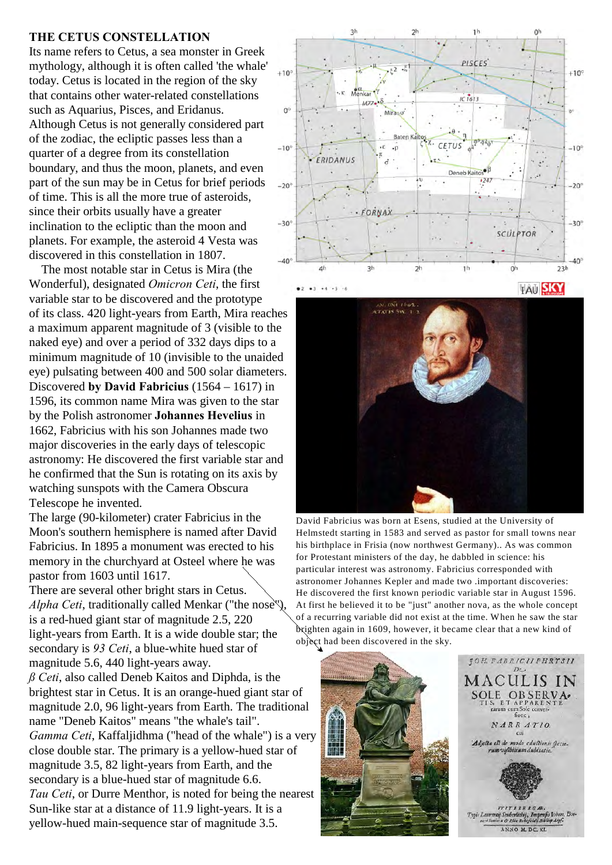## **THE CETUS CONSTELLATION**

Its name refers to Cetus, a sea monster in Greek mythology, although it is often called 'the whale' today. Cetus is located in the region of the sky that contains other water-related constellations such as Aquarius, Pisces, and Eridanus. Although Cetus is not generally considered part of the zodiac, the ecliptic passes less than a quarter of a degree from its constellation boundary, and thus the moon, planets, and even part of the sun may be in Cetus for brief periods of time. This is all the more true of asteroids, since their orbits usually have a greater inclination to the ecliptic than the moon and planets. For example, the asteroid 4 Vesta was discovered in this constellation in 1807.

 The most notable star in Cetus is Mira (the Wonderful), designated *Omicron Ceti*, the first variable star to be discovered and the prototype of its class. 420 light-years from Earth, Mira reaches a maximum apparent magnitude of 3 (visible to the naked eye) and over a period of 332 days dips to a minimum magnitude of 10 (invisible to the unaided eye) pulsating between 400 and 500 solar diameters. Discovered **by David Fabricius** (1564 – 1617) in 1596, its common name Mira was given to the star by the Polish astronomer **Johannes Hevelius** in 1662, Fabricius with his son Johannes made two major discoveries in the early days of telescopic astronomy: He discovered the first variable star and he confirmed that the Sun is rotating on its axis by watching sunspots with the Camera Obscura Telescope he invented.

The large (90-kilometer) crater Fabricius in the Moon's southern hemisphere is named after David Fabricius. In 1895 a monument was erected to his memory in the churchyard at Osteel where he was pastor from 1603 until 1617.

There are several other bright stars in Cetus. *Alpha Ceti*, traditionally called Menkar ("the nose"), is a red-hued giant star of magnitude 2.5, 220 light-years from Earth. It is a wide double star; the secondary is *93 Ceti*, a blue-white hued star of magnitude 5.6, 440 light-years away.

*ß Ceti*, also called Deneb Kaitos and Diphda, is the brightest star in Cetus. It is an orange-hued giant star of magnitude 2.0, 96 light-years from Earth. The traditional name "Deneb Kaitos" means "the whale's tail". *Gamma Ceti*, Kaffaljidhma ("head of the whale") is a very close double star. The primary is a yellow-hued star of magnitude 3.5, 82 light-years from Earth, and the secondary is a blue-hued star of magnitude 6.6. *Tau Ceti*, or Durre Menthor, is noted for being the nearest Sun-like star at a distance of 11.9 light-years. It is a yellow-hued main-sequence star of magnitude 3.5.





David Fabricius was born at Esens, studied at the University of Helmstedt starting in 1583 and served as pastor for small towns near his birthplace in Frisia (now northwest Germany).. As was common for Protestant ministers of the day, he dabbled in science: his particular interest was astronomy. Fabricius corresponded with astronomer Johannes Kepler and made two .important discoveries: He discovered the first known periodic variable star in August 1596. At first he believed it to be "just" another nova, as the whole concept of a recurring variable did not exist at the time. When he saw the star brighten again in 1609, however, it became clear that a new kind of object had been discovered in the sky.





s Laurentij Seuberlichij, Imperifis Iohan, Bor-<br>neri Senioru & Elia Rebefeldy.Bibliop.Lipf. ANNO M. DC. XI.